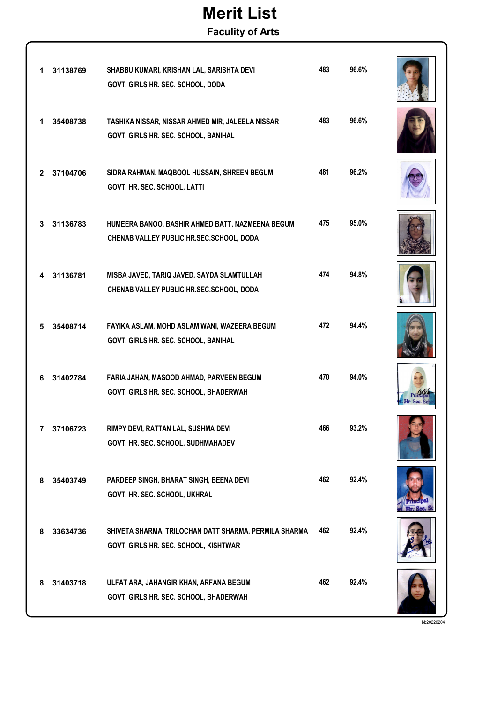## Merit List

Faculity of Arts

| 1            | 31138769 | SHABBU KUMARI, KRISHAN LAL, SARISHTA DEVI<br>GOVT. GIRLS HR. SEC. SCHOOL, DODA                 | 483 | 96.6% |  |
|--------------|----------|------------------------------------------------------------------------------------------------|-----|-------|--|
| 1.           | 35408738 | TASHIKA NISSAR, NISSAR AHMED MIR, JALEELA NISSAR<br>GOVT. GIRLS HR. SEC. SCHOOL, BANIHAL       | 483 | 96.6% |  |
| $\mathbf{2}$ | 37104706 | SIDRA RAHMAN, MAQBOOL HUSSAIN, SHREEN BEGUM<br>GOVT. HR. SEC. SCHOOL, LATTI                    | 481 | 96.2% |  |
| 3            | 31136783 | HUMEERA BANOO, BASHIR AHMED BATT, NAZMEENA BEGUM<br>CHENAB VALLEY PUBLIC HR.SEC.SCHOOL, DODA   | 475 | 95.0% |  |
| 4            | 31136781 | MISBA JAVED, TARIQ JAVED, SAYDA SLAMTULLAH<br>CHENAB VALLEY PUBLIC HR.SEC.SCHOOL, DODA         | 474 | 94.8% |  |
| 5            | 35408714 | FAYIKA ASLAM, MOHD ASLAM WANI, WAZEERA BEGUM<br>GOVT. GIRLS HR. SEC. SCHOOL, BANIHAL           | 472 | 94.4% |  |
| 6            | 31402784 | FARIA JAHAN, MASOOD AHMAD, PARVEEN BEGUM<br>GOVT. GIRLS HR. SEC. SCHOOL, BHADERWAH             | 470 | 94.0% |  |
| 7            | 37106723 | RIMPY DEVI, RATTAN LAL, SUSHMA DEVI<br>GOVT. HR. SEC. SCHOOL, SUDHMAHADEV                      | 466 | 93.2% |  |
| 8            | 35403749 | PARDEEP SINGH, BHARAT SINGH, BEENA DEVI<br>GOVT. HR. SEC. SCHOOL, UKHRAL                       | 462 | 92.4% |  |
| 8            | 33634736 | SHIVETA SHARMA, TRILOCHAN DATT SHARMA, PERMILA SHARMA<br>GOVT. GIRLS HR. SEC. SCHOOL, KISHTWAR | 462 | 92.4% |  |
| 8            | 31403718 | ULFAT ARA, JAHANGIR KHAN, ARFANA BEGUM<br>GOVT. GIRLS HR. SEC. SCHOOL, BHADERWAH               | 462 | 92.4% |  |

bb20220204